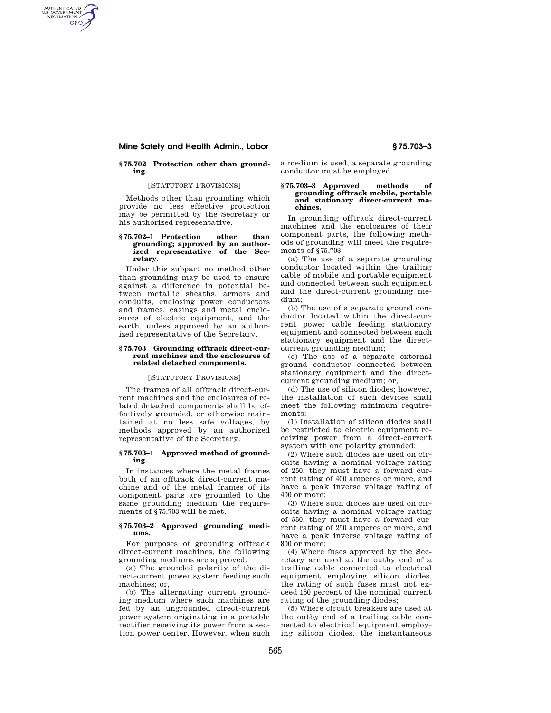# **Mine Safety and Health Admin., Labor § 75.703–3**

AUTHENTICATED<br>U.S. GOVERNMENT<br>INFORMATION **GPO** 

## **§ 75.702 Protection other than grounding.**

## [STATUTORY PROVISIONS]

Methods other than grounding which provide no less effective protection may be permitted by the Secretary or his authorized representative.

## **§ 75.702–1 Protection other than grounding; approved by an authorized representative of the Secretary.**

Under this subpart no method other than grounding may be used to ensure against a difference in potential between metallic sheaths, armors and conduits, enclosing power conductors and frames, casings and metal enclosures of electric equipment, and the earth, unless approved by an authorized representative of the Secretary.

#### **§ 75.703 Grounding offtrack direct-current machines and the enclosures of related detached components.**

#### [STATUTORY PROVISIONS]

The frames of all offtrack direct-current machines and the enclosures of related detached components shall be effectively grounded, or otherwise maintained at no less safe voltages, by methods approved by an authorized representative of the Secretary.

#### **§ 75.703–1 Approved method of grounding.**

In instances where the metal frames both of an offtrack direct-current machine and of the metal frames of its component parts are grounded to the same grounding medium the requirements of §75.703 will be met.

## **§ 75.703–2 Approved grounding mediums.**

For purposes of grounding offtrack direct-current machines, the following grounding mediums are approved:

(a) The grounded polarity of the direct-current power system feeding such machines; or,

(b) The alternating current grounding medium where such machines are fed by an ungrounded direct-current power system originating in a portable rectifier receiving its power from a section power center. However, when such a medium is used, a separate grounding conductor must be employed.

#### **§ 75.703–3 Approved methods of grounding offtrack mobile, portable and stationary direct-current machines.**

In grounding offtrack direct-current machines and the enclosures of their component parts, the following methods of grounding will meet the requirements of §75.703:

(a) The use of a separate grounding conductor located within the trailing cable of mobile and portable equipment and connected between such equipment and the direct-current grounding medium;

(b) The use of a separate ground conductor located within the direct-current power cable feeding stationary equipment and connected between such stationary equipment and the directcurrent grounding medium;

(c) The use of a separate external ground conductor connected between stationary equipment and the directcurrent grounding medium; or,

(d) The use of silicon diodes; however, the installation of such devices shall meet the following minimum requirements:

(1) Installation of silicon diodes shall be restricted to electric equipment receiving power from a direct-current system with one polarity grounded;

(2) Where such diodes are used on circuits having a nominal voltage rating of 250, they must have a forward current rating of 400 amperes or more, and have a peak inverse voltage rating of 400 or more;

(3) Where such diodes are used on circuits having a nominal voltage rating of 550, they must have a forward current rating of 250 amperes or more, and have a peak inverse voltage rating of 800 or more;

(4) Where fuses approved by the Secretary are used at the outby end of a trailing cable connected to electrical equipment employing silicon diodes, the rating of such fuses must not exceed 150 percent of the nominal current rating of the grounding diodes;

(5) Where circuit breakers are used at the outby end of a trailing cable connected to electrical equipment employing silicon diodes, the instantaneous